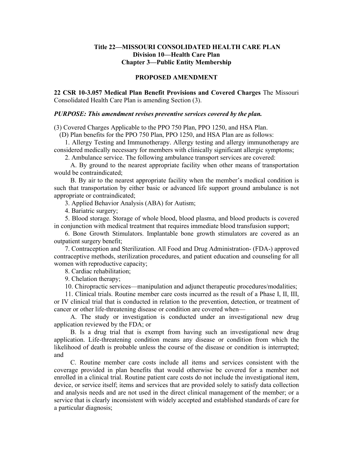## **Title 22—MISSOURI CONSOLIDATED HEALTH CARE PLAN Division 10—Health Care Plan Chapter 3—Public Entity Membership**

## **PROPOSED AMENDMENT**

**22 CSR 10-3.057 Medical Plan Benefit Provisions and Covered Charges** The Missouri Consolidated Health Care Plan is amending Section (3).

## *PURPOSE: This amendment revises preventive services covered by the plan.*

(3) Covered Charges Applicable to the PPO 750 Plan, PPO 1250, and HSA Plan.

(D) Plan benefits for the PPO 750 Plan, PPO 1250, and HSA Plan are as follows:

1. Allergy Testing and Immunotherapy. Allergy testing and allergy immunotherapy are considered medically necessary for members with clinically significant allergic symptoms;

2. Ambulance service. The following ambulance transport services are covered:

A. By ground to the nearest appropriate facility when other means of transportation would be contraindicated;

B. By air to the nearest appropriate facility when the member's medical condition is such that transportation by either basic or advanced life support ground ambulance is not appropriate or contraindicated;

3. Applied Behavior Analysis (ABA) for Autism;

4. Bariatric surgery;

5. Blood storage. Storage of whole blood, blood plasma, and blood products is covered in conjunction with medical treatment that requires immediate blood transfusion support;

6. Bone Growth Stimulators. Implantable bone growth stimulators are covered as an outpatient surgery benefit;

7. Contraception and Sterilization. All Food and Drug Administration- (FDA-) approved contraceptive methods, sterilization procedures, and patient education and counseling for all women with reproductive capacity;

8. Cardiac rehabilitation;

9. Chelation therapy;

10. Chiropractic services—manipulation and adjunct therapeutic procedures/modalities;

11. Clinical trials. Routine member care costs incurred as the result of a Phase I, II, III, or IV clinical trial that is conducted in relation to the prevention, detection, or treatment of cancer or other life-threatening disease or condition are covered when—

A. The study or investigation is conducted under an investigational new drug application reviewed by the FDA; or

B. Is a drug trial that is exempt from having such an investigational new drug application. Life-threatening condition means any disease or condition from which the likelihood of death is probable unless the course of the disease or condition is interrupted; and

C. Routine member care costs include all items and services consistent with the coverage provided in plan benefits that would otherwise be covered for a member not enrolled in a clinical trial. Routine patient care costs do not include the investigational item, device, or service itself; items and services that are provided solely to satisfy data collection and analysis needs and are not used in the direct clinical management of the member; or a service that is clearly inconsistent with widely accepted and established standards of care for a particular diagnosis;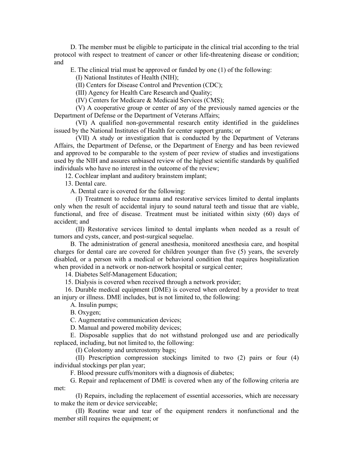D. The member must be eligible to participate in the clinical trial according to the trial protocol with respect to treatment of cancer or other life-threatening disease or condition; and

E. The clinical trial must be approved or funded by one (1) of the following:

(I) National Institutes of Health (NIH);

(II) Centers for Disease Control and Prevention (CDC);

(III) Agency for Health Care Research and Quality;

(IV) Centers for Medicare & Medicaid Services (CMS);

(V) A cooperative group or center of any of the previously named agencies or the Department of Defense or the Department of Veterans Affairs;

(VI) A qualified non-governmental research entity identified in the guidelines issued by the National Institutes of Health for center support grants; or

(VII) A study or investigation that is conducted by the Department of Veterans Affairs, the Department of Defense, or the Department of Energy and has been reviewed and approved to be comparable to the system of peer review of studies and investigations used by the NIH and assures unbiased review of the highest scientific standards by qualified individuals who have no interest in the outcome of the review;

12. Cochlear implant and auditory brainstem implant;

13. Dental care.

A. Dental care is covered for the following:

(I) Treatment to reduce trauma and restorative services limited to dental implants only when the result of accidental injury to sound natural teeth and tissue that are viable, functional, and free of disease. Treatment must be initiated within sixty (60) days of accident; and

(II) Restorative services limited to dental implants when needed as a result of tumors and cysts, cancer, and post-surgical sequelae.

B. The administration of general anesthesia, monitored anesthesia care, and hospital charges for dental care are covered for children younger than five (5) years, the severely disabled, or a person with a medical or behavioral condition that requires hospitalization when provided in a network or non-network hospital or surgical center;

14. Diabetes Self-Management Education;

15. Dialysis is covered when received through a network provider;

16. Durable medical equipment (DME) is covered when ordered by a provider to treat an injury or illness. DME includes, but is not limited to, the following:

A. Insulin pumps;

B. Oxygen;

C. Augmentative communication devices;

D. Manual and powered mobility devices;

E. Disposable supplies that do not withstand prolonged use and are periodically replaced, including, but not limited to, the following:

(I) Colostomy and ureterostomy bags;

(II) Prescription compression stockings limited to two (2) pairs or four (4) individual stockings per plan year;

F. Blood pressure cuffs/monitors with a diagnosis of diabetes;

G. Repair and replacement of DME is covered when any of the following criteria are met:

(I) Repairs, including the replacement of essential accessories, which are necessary to make the item or device serviceable;

(II) Routine wear and tear of the equipment renders it nonfunctional and the member still requires the equipment; or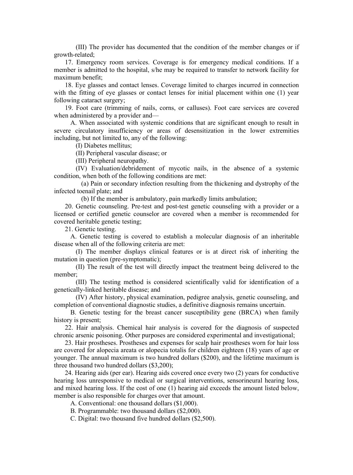(III) The provider has documented that the condition of the member changes or if growth-related;

17. Emergency room services. Coverage is for emergency medical conditions. If a member is admitted to the hospital, s/he may be required to transfer to network facility for maximum benefit;

18. Eye glasses and contact lenses. Coverage limited to charges incurred in connection with the fitting of eye glasses or contact lenses for initial placement within one (1) year following cataract surgery;

19. Foot care (trimming of nails, corns, or calluses). Foot care services are covered when administered by a provider and—

A. When associated with systemic conditions that are significant enough to result in severe circulatory insufficiency or areas of desensitization in the lower extremities including, but not limited to, any of the following:

(I) Diabetes mellitus;

(II) Peripheral vascular disease; or

(III) Peripheral neuropathy.

(IV) Evaluation/debridement of mycotic nails, in the absence of a systemic condition, when both of the following conditions are met:

(a) Pain or secondary infection resulting from the thickening and dystrophy of the infected toenail plate; and

(b) If the member is ambulatory, pain markedly limits ambulation;

20. Genetic counseling. Pre-test and post-test genetic counseling with a provider or a licensed or certified genetic counselor are covered when a member is recommended for covered heritable genetic testing;

21. Genetic testing.

A. Genetic testing is covered to establish a molecular diagnosis of an inheritable disease when all of the following criteria are met:

(I) The member displays clinical features or is at direct risk of inheriting the mutation in question (pre-symptomatic);

(II) The result of the test will directly impact the treatment being delivered to the member;

(III) The testing method is considered scientifically valid for identification of a genetically-linked heritable disease; and

(IV) After history, physical examination, pedigree analysis, genetic counseling, and completion of conventional diagnostic studies, a definitive diagnosis remains uncertain.

B. Genetic testing for the breast cancer susceptibility gene (BRCA) when family history is present;

22. Hair analysis. Chemical hair analysis is covered for the diagnosis of suspected chronic arsenic poisoning. Other purposes are considered experimental and investigational;

23. Hair prostheses. Prostheses and expenses for scalp hair prostheses worn for hair loss are covered for alopecia areata or alopecia totalis for children eighteen (18) years of age or younger. The annual maximum is two hundred dollars (\$200), and the lifetime maximum is three thousand two hundred dollars (\$3,200);

24. Hearing aids (per ear). Hearing aids covered once every two (2) years for conductive hearing loss unresponsive to medical or surgical interventions, sensorineural hearing loss, and mixed hearing loss. If the cost of one (1) hearing aid exceeds the amount listed below, member is also responsible for charges over that amount.

A. Conventional: one thousand dollars (\$1,000).

B. Programmable: two thousand dollars (\$2,000).

C. Digital: two thousand five hundred dollars (\$2,500).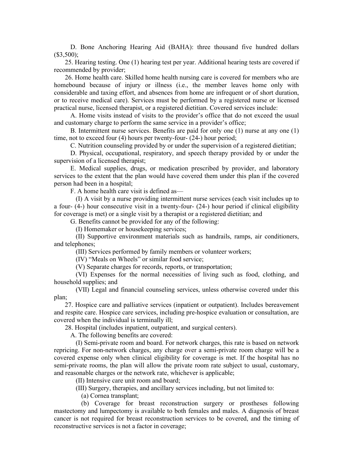D. Bone Anchoring Hearing Aid (BAHA): three thousand five hundred dollars  $($3,500)$ ;

25. Hearing testing. One (1) hearing test per year. Additional hearing tests are covered if recommended by provider;

26. Home health care. Skilled home health nursing care is covered for members who are homebound because of injury or illness (i.e., the member leaves home only with considerable and taxing effort, and absences from home are infrequent or of short duration, or to receive medical care). Services must be performed by a registered nurse or licensed practical nurse, licensed therapist, or a registered dietitian. Covered services include:

A. Home visits instead of visits to the provider's office that do not exceed the usual and customary charge to perform the same service in a provider's office;

B. Intermittent nurse services. Benefits are paid for only one (1) nurse at any one (1) time, not to exceed four (4) hours per twenty-four- (24-) hour period;

C. Nutrition counseling provided by or under the supervision of a registered dietitian;

D. Physical, occupational, respiratory, and speech therapy provided by or under the supervision of a licensed therapist;

E. Medical supplies, drugs, or medication prescribed by provider, and laboratory services to the extent that the plan would have covered them under this plan if the covered person had been in a hospital;

F. A home health care visit is defined as—

(I) A visit by a nurse providing intermittent nurse services (each visit includes up to a four- (4-) hour consecutive visit in a twenty-four- (24-) hour period if clinical eligibility for coverage is met) or a single visit by a therapist or a registered dietitian; and

G. Benefits cannot be provided for any of the following:

(I) Homemaker or housekeeping services;

(II) Supportive environment materials such as handrails, ramps, air conditioners, and telephones;

(III) Services performed by family members or volunteer workers;

(IV) "Meals on Wheels" or similar food service;

(V) Separate charges for records, reports, or transportation;

(VI) Expenses for the normal necessities of living such as food, clothing, and household supplies; and

(VII) Legal and financial counseling services, unless otherwise covered under this plan;

27. Hospice care and palliative services (inpatient or outpatient). Includes bereavement and respite care. Hospice care services, including pre-hospice evaluation or consultation, are covered when the individual is terminally ill;

28. Hospital (includes inpatient, outpatient, and surgical centers).

A. The following benefits are covered:

(I) Semi-private room and board. For network charges, this rate is based on network repricing. For non-network charges, any charge over a semi-private room charge will be a covered expense only when clinical eligibility for coverage is met. If the hospital has no semi-private rooms, the plan will allow the private room rate subject to usual, customary, and reasonable charges or the network rate, whichever is applicable;

(II) Intensive care unit room and board;

(III) Surgery, therapies, and ancillary services including, but not limited to:

(a) Cornea transplant;

(b) Coverage for breast reconstruction surgery or prostheses following mastectomy and lumpectomy is available to both females and males. A diagnosis of breast cancer is not required for breast reconstruction services to be covered, and the timing of reconstructive services is not a factor in coverage;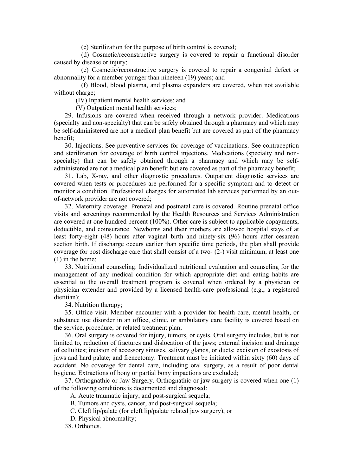(c) Sterilization for the purpose of birth control is covered;

(d) Cosmetic/reconstructive surgery is covered to repair a functional disorder caused by disease or injury;

(e) Cosmetic/reconstructive surgery is covered to repair a congenital defect or abnormality for a member younger than nineteen (19) years; and

(f) Blood, blood plasma, and plasma expanders are covered, when not available without charge;

(IV) Inpatient mental health services; and

(V) Outpatient mental health services;

29. Infusions are covered when received through a network provider. Medications (specialty and non-specialty) that can be safely obtained through a pharmacy and which may be self-administered are not a medical plan benefit but are covered as part of the pharmacy benefit;

30. Injections. See preventive services for coverage of vaccinations. See contraception and sterilization for coverage of birth control injections. Medications (specialty and nonspecialty) that can be safely obtained through a pharmacy and which may be selfadministered are not a medical plan benefit but are covered as part of the pharmacy benefit;

31. Lab, X-ray, and other diagnostic procedures. Outpatient diagnostic services are covered when tests or procedures are performed for a specific symptom and to detect or monitor a condition. Professional charges for automated lab services performed by an outof-network provider are not covered;

32. Maternity coverage. Prenatal and postnatal care is covered. Routine prenatal office visits and screenings recommended by the Health Resources and Services Administration are covered at one hundred percent (100%). Other care is subject to applicable copayments, deductible, and coinsurance. Newborns and their mothers are allowed hospital stays of at least forty-eight (48) hours after vaginal birth and ninety-six (96) hours after cesarean section birth. If discharge occurs earlier than specific time periods, the plan shall provide coverage for post discharge care that shall consist of a two- (2-) visit minimum, at least one (1) in the home;

33. Nutritional counseling. Individualized nutritional evaluation and counseling for the management of any medical condition for which appropriate diet and eating habits are essential to the overall treatment program is covered when ordered by a physician or physician extender and provided by a licensed health-care professional (e.g., a registered dietitian);

34. Nutrition therapy;

35. Office visit. Member encounter with a provider for health care, mental health, or substance use disorder in an office, clinic, or ambulatory care facility is covered based on the service, procedure, or related treatment plan;

36. Oral surgery is covered for injury, tumors, or cysts. Oral surgery includes, but is not limited to, reduction of fractures and dislocation of the jaws; external incision and drainage of cellulites; incision of accessory sinuses, salivary glands, or ducts; excision of exostosis of jaws and hard palate; and frenectomy. Treatment must be initiated within sixty (60) days of accident. No coverage for dental care, including oral surgery, as a result of poor dental hygiene. Extractions of bony or partial bony impactions are excluded;

37. Orthognathic or Jaw Surgery. Orthognathic or jaw surgery is covered when one (1) of the following conditions is documented and diagnosed:

A. Acute traumatic injury, and post-surgical sequela;

B. Tumors and cysts, cancer, and post-surgical sequela;

C. Cleft lip/palate (for cleft lip/palate related jaw surgery); or

D. Physical abnormality;

38. Orthotics.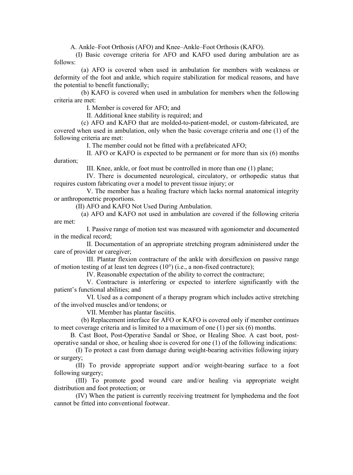A. Ankle–Foot Orthosis (AFO) and Knee–Ankle–Foot Orthosis (KAFO).

(I) Basic coverage criteria for AFO and KAFO used during ambulation are as follows:

(a) AFO is covered when used in ambulation for members with weakness or deformity of the foot and ankle, which require stabilization for medical reasons, and have the potential to benefit functionally;

(b) KAFO is covered when used in ambulation for members when the following criteria are met:

I. Member is covered for AFO; and

II. Additional knee stability is required; and

(c) AFO and KAFO that are molded-to-patient-model, or custom-fabricated, are covered when used in ambulation, only when the basic coverage criteria and one (1) of the following criteria are met:

I. The member could not be fitted with a prefabricated AFO;

II. AFO or KAFO is expected to be permanent or for more than six (6) months duration;

III. Knee, ankle, or foot must be controlled in more than one (1) plane;

IV. There is documented neurological, circulatory, or orthopedic status that requires custom fabricating over a model to prevent tissue injury; or

V. The member has a healing fracture which lacks normal anatomical integrity or anthropometric proportions.

(II) AFO and KAFO Not Used During Ambulation.

(a) AFO and KAFO not used in ambulation are covered if the following criteria are met:

I. Passive range of motion test was measured with agoniometer and documented in the medical record;

II. Documentation of an appropriate stretching program administered under the care of provider or caregiver;

III. Plantar flexion contracture of the ankle with dorsiflexion on passive range of motion testing of at least ten degrees  $(10^{\circ})$  (i.e., a non-fixed contracture);

IV. Reasonable expectation of the ability to correct the contracture;

V. Contracture is interfering or expected to interfere significantly with the patient's functional abilities; and

VI. Used as a component of a therapy program which includes active stretching of the involved muscles and/or tendons; or

VII. Member has plantar fasciitis.

(b) Replacement interface for AFO or KAFO is covered only if member continues to meet coverage criteria and is limited to a maximum of one (1) per six (6) months.

B. Cast Boot, Post-Operative Sandal or Shoe, or Healing Shoe. A cast boot, postoperative sandal or shoe, or healing shoe is covered for one (1) of the following indications:

(I) To protect a cast from damage during weight-bearing activities following injury or surgery;

(II) To provide appropriate support and/or weight-bearing surface to a foot following surgery;

(III) To promote good wound care and/or healing via appropriate weight distribution and foot protection; or

(IV) When the patient is currently receiving treatment for lymphedema and the foot cannot be fitted into conventional footwear.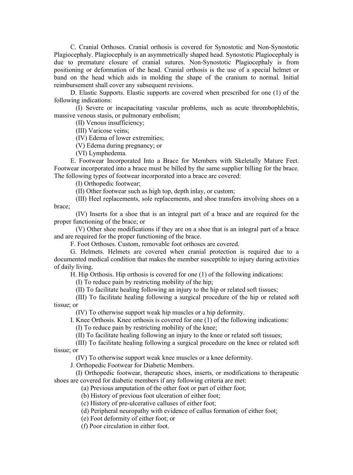C. Cranial Orthoses. Cranial orthosis is covered for Synostotic and Non-Synostotic Plagiocephaly. Plagiocephaly is an asymmetrically shaped head. Synostotic Plagiocephaly is due to premature closure of cranial sutures. Non-Synostotic Plagiocephaly is from positioning or deformation of the head. Cranial orthosis is the use of a special helmet or band on the head which aids in molding the shape of the cranium to normal. Initial reimbursement shall cover any subsequent revisions.

D. Elastic Supports. Elastic supports are covered when prescribed for one (1) of the following indications:

(I) Severe or incapacitating vascular problems, such as acute thrombophlebitis, massive venous stasis, or pulmonary embolism;

(II) Venous insufficiency;

(III) Varicose veins;

(IV) Edema of lower extremities;

(V) Edema during pregnancy; or

(VI) Lymphedema.

E. Footwear Incorporated Into a Brace for Members with Skeletally Mature Feet. Footwear incorporated into a brace must be billed by the same supplier billing for the brace. The following types of footwear incorporated into a brace are covered:

(I) Orthopedic footwear;

(II) Other footwear such as high top, depth inlay, or custom;

(III) Heel replacements, sole replacements, and shoe transfers involving shoes on a brace;

(IV) Inserts for a shoe that is an integral part of a brace and are required for the proper functioning of the brace; or

(V) Other shoe modifications if they are on a shoe that is an integral part of a brace and are required for the proper functioning of the brace.

F. Foot Orthoses. Custom, removable foot orthoses are covered.

G. Helmets. Helmets are covered when cranial protection is required due to a documented medical condition that makes the member susceptible to injury during activities of daily living.

H. Hip Orthosis. Hip orthosis is covered for one (1) of the following indications:

(I) To reduce pain by restricting mobility of the hip;

(II) To facilitate healing following an injury to the hip or related soft tissues;

(III) To facilitate healing following a surgical procedure of the hip or related soft tissue; or

(IV) To otherwise support weak hip muscles or a hip deformity.

I. Knee Orthosis. Knee orthosis is covered for one (1) of the following indications:

(I) To reduce pain by restricting mobility of the knee;

(II) To facilitate healing following an injury to the knee or related soft tissues;

(III) To facilitate healing following a surgical procedure on the knee or related soft tissue; or

(IV) To otherwise support weak knee muscles or a knee deformity.

J. Orthopedic Footwear for Diabetic Members.

(I) Orthopedic footwear, therapeutic shoes, inserts, or modifications to therapeutic shoes are covered for diabetic members if any following criteria are met:

(a) Previous amputation of the other foot or part of either foot;

(b) History of previous foot ulceration of either foot;

(c) History of pre-ulcerative calluses of either foot;

(d) Peripheral neuropathy with evidence of callus formation of either foot;

(e) Foot deformity of either foot; or

(f) Poor circulation in either foot.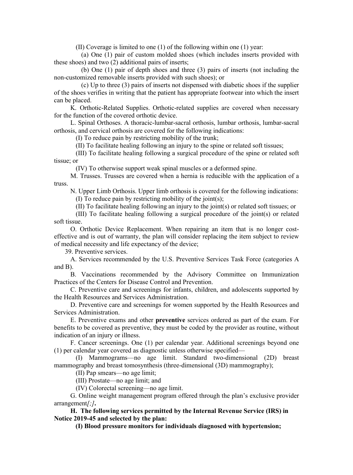(II) Coverage is limited to one (1) of the following within one (1) year:

(a) One (1) pair of custom molded shoes (which includes inserts provided with these shoes) and two (2) additional pairs of inserts;

(b) One (1) pair of depth shoes and three (3) pairs of inserts (not including the non-customized removable inserts provided with such shoes); or

(c) Up to three (3) pairs of inserts not dispensed with diabetic shoes if the supplier of the shoes verifies in writing that the patient has appropriate footwear into which the insert can be placed.

K. Orthotic-Related Supplies. Orthotic-related supplies are covered when necessary for the function of the covered orthotic device.

L. Spinal Orthoses. A thoracic-lumbar-sacral orthosis, lumbar orthosis, lumbar-sacral orthosis, and cervical orthosis are covered for the following indications:

(I) To reduce pain by restricting mobility of the trunk;

(II) To facilitate healing following an injury to the spine or related soft tissues;

(III) To facilitate healing following a surgical procedure of the spine or related soft tissue; or

(IV) To otherwise support weak spinal muscles or a deformed spine.

M. Trusses. Trusses are covered when a hernia is reducible with the application of a truss.

N. Upper Limb Orthosis. Upper limb orthosis is covered for the following indications:

(I) To reduce pain by restricting mobility of the joint(s);

(II) To facilitate healing following an injury to the joint(s) or related soft tissues; or

(III) To facilitate healing following a surgical procedure of the joint(s) or related soft tissue.

O. Orthotic Device Replacement. When repairing an item that is no longer costeffective and is out of warranty, the plan will consider replacing the item subject to review of medical necessity and life expectancy of the device;

39. Preventive services.

A. Services recommended by the U.S. Preventive Services Task Force (categories A and B).

B. Vaccinations recommended by the Advisory Committee on Immunization Practices of the Centers for Disease Control and Prevention.

C. Preventive care and screenings for infants, children, and adolescents supported by the Health Resources and Services Administration.

D. Preventive care and screenings for women supported by the Health Resources and Services Administration.

E. Preventive exams and other **preventive** services ordered as part of the exam. For benefits to be covered as preventive, they must be coded by the provider as routine, without indication of an injury or illness.

F. Cancer screenings. One (1) per calendar year. Additional screenings beyond one (1) per calendar year covered as diagnostic unless otherwise specified—

(I) Mammograms—no age limit. Standard two-dimensional (2D) breast mammography and breast tomosynthesis (three-dimensional (3D) mammography);

(II) Pap smears—no age limit;

(III) Prostate—no age limit; and

(IV) Colorectal screening—no age limit.

G. Online weight management program offered through the plan's exclusive provider arrangement*[;]***.**

**H. The following services permitted by the Internal Revenue Service (IRS) in [Notice 2019-45](https://www.irs.gov/pub/irs-drop/n-19-45.pdf) and selected by the plan:**

**(I) Blood pressure monitors for individuals diagnosed with hypertension;**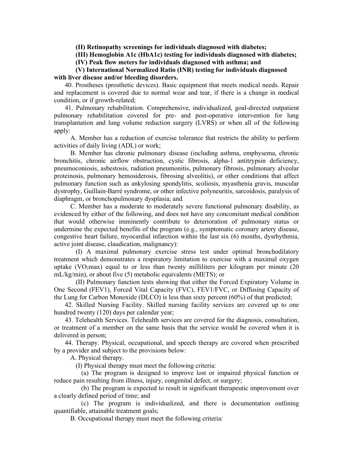**(II) Retinopathy screenings for individuals diagnosed with diabetes;**

**(III) Hemoglobin A1c (HbA1c) testing for individuals diagnosed with diabetes;**

**(IV) Peak flow meters for individuals diagnosed with asthma; and**

## **(V) International Normalized Ratio (INR) testing for individuals diagnosed with liver disease and/or bleeding disorders.**

40. Prostheses (prosthetic devices). Basic equipment that meets medical needs. Repair and replacement is covered due to normal wear and tear, if there is a change in medical condition, or if growth-related;

41. Pulmonary rehabilitation. Comprehensive, individualized, goal-directed outpatient pulmonary rehabilitation covered for pre- and post-operative intervention for lung transplantation and lung volume reduction surgery (LVRS) or when all of the following apply:

A. Member has a reduction of exercise tolerance that restricts the ability to perform activities of daily living (ADL) or work;

B. Member has chronic pulmonary disease (including asthma, emphysema, chronic bronchitis, chronic airflow obstruction, cystic fibrosis, alpha-1 antitrypsin deficiency, pneumoconiosis, asbestosis, radiation pneumonitis, pulmonary fibrosis, pulmonary alveolar proteinosis, pulmonary hemosiderosis, fibrosing alveolitis), or other conditions that affect pulmonary function such as ankylosing spondylitis, scoliosis, myasthenia gravis, muscular dystrophy, Guillain-Barré syndrome, or other infective polyneuritis, sarcoidosis, paralysis of diaphragm, or bronchopulmonary dysplasia; and

C. Member has a moderate to moderately severe functional pulmonary disability, as evidenced by either of the following, and does not have any concomitant medical condition that would otherwise imminently contribute to deterioration of pulmonary status or undermine the expected benefits of the program (e.g., symptomatic coronary artery disease, congestive heart failure, myocardial infarction within the last six (6) months, dysrhythmia, active joint disease, claudication, malignancy):

(I) A maximal pulmonary exercise stress test under optimal bronchodilatory treatment which demonstrates a respiratory limitation to exercise with a maximal oxygen uptake (VO<sub>2</sub>max) equal to or less than twenty milliliters per kilogram per minute (20 mL/kg/min), or about five (5) metabolic equivalents (METS); or

(II) Pulmonary function tests showing that either the Forced Expiratory Volume in One Second (FEV1), Forced Vital Capacity (FVC), FEV1/FVC, or Diffusing Capacity of the Lung for Carbon Monoxide (DLCO) is less than sixty percent (60%) of that predicted;

42. Skilled Nursing Facility. Skilled nursing facility services are covered up to one hundred twenty (120) days per calendar year;

43. Telehealth Services. Telehealth services are covered for the diagnosis, consultation, or treatment of a member on the same basis that the service would be covered when it is delivered in person;

44. Therapy. Physical, occupational, and speech therapy are covered when prescribed by a provider and subject to the provisions below:

A. Physical therapy.

(I) Physical therapy must meet the following criteria:

(a) The program is designed to improve lost or impaired physical function or reduce pain resulting from illness, injury, congenital defect, or surgery;

(b) The program is expected to result in significant therapeutic improvement over a clearly defined period of time; and

(c) The program is individualized, and there is documentation outlining quantifiable, attainable treatment goals;

B. Occupational therapy must meet the following criteria: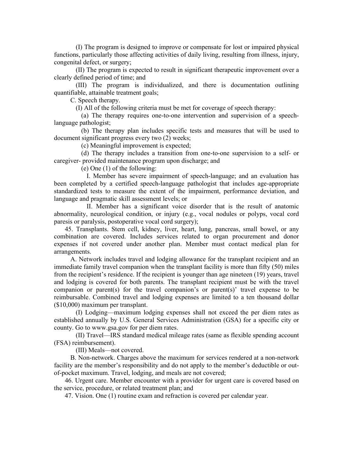(I) The program is designed to improve or compensate for lost or impaired physical functions, particularly those affecting activities of daily living, resulting from illness, injury, congenital defect, or surgery;

(II) The program is expected to result in significant therapeutic improvement over a clearly defined period of time; and

(III) The program is individualized, and there is documentation outlining quantifiable, attainable treatment goals;

C. Speech therapy.

(I) All of the following criteria must be met for coverage of speech therapy:

(a) The therapy requires one-to-one intervention and supervision of a speechlanguage pathologist;

(b) The therapy plan includes specific tests and measures that will be used to document significant progress every two (2) weeks;

(c) Meaningful improvement is expected;

(d) The therapy includes a transition from one-to-one supervision to a self- or caregiver- provided maintenance program upon discharge; and

(e) One (1) of the following:

I. Member has severe impairment of speech-language; and an evaluation has been completed by a certified speech-language pathologist that includes age-appropriate standardized tests to measure the extent of the impairment, performance deviation, and language and pragmatic skill assessment levels; or

II. Member has a significant voice disorder that is the result of anatomic abnormality, neurological condition, or injury (e.g., vocal nodules or polyps, vocal cord paresis or paralysis, postoperative vocal cord surgery);

45. Transplants. Stem cell, kidney, liver, heart, lung, pancreas, small bowel, or any combination are covered. Includes services related to organ procurement and donor expenses if not covered under another plan. Member must contact medical plan for arrangements.

A. Network includes travel and lodging allowance for the transplant recipient and an immediate family travel companion when the transplant facility is more than fifty (50) miles from the recipient's residence. If the recipient is younger than age nineteen (19) years, travel and lodging is covered for both parents. The transplant recipient must be with the travel companion or parent(s) for the travel companion's or parent(s)' travel expense to be reimbursable. Combined travel and lodging expenses are limited to a ten thousand dollar (\$10,000) maximum per transplant.

(I) Lodging—maximum lodging expenses shall not exceed the per diem rates as established annually by U.S. General Services Administration (GSA) for a specific city or county. Go to www.gsa.gov for per diem rates.

(II) Travel—IRS standard medical mileage rates (same as flexible spending account (FSA) reimbursement).

(III) Meals—not covered.

B. Non-network. Charges above the maximum for services rendered at a non-network facility are the member's responsibility and do not apply to the member's deductible or outof-pocket maximum. Travel, lodging, and meals are not covered;

46. Urgent care. Member encounter with a provider for urgent care is covered based on the service, procedure, or related treatment plan; and

47. Vision. One (1) routine exam and refraction is covered per calendar year.